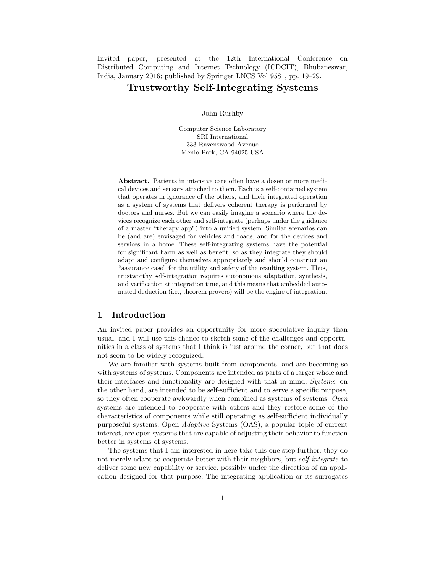Invited paper, presented at the 12th International Conference on Distributed Computing and Internet Technology (ICDCIT), Bhubaneswar, India, January 2016; published by Springer LNCS Vol 9581, pp. 19–29.

# Trustworthy Self-Integrating Systems

John Rushby

Computer Science Laboratory SRI International 333 Ravenswood Avenue Menlo Park, CA 94025 USA

Abstract. Patients in intensive care often have a dozen or more medical devices and sensors attached to them. Each is a self-contained system that operates in ignorance of the others, and their integrated operation as a system of systems that delivers coherent therapy is performed by doctors and nurses. But we can easily imagine a scenario where the devices recognize each other and self-integrate (perhaps under the guidance of a master "therapy app") into a unified system. Similar scenarios can be (and are) envisaged for vehicles and roads, and for the devices and services in a home. These self-integrating systems have the potential for significant harm as well as benefit, so as they integrate they should adapt and configure themselves appropriately and should construct an "assurance case" for the utility and safety of the resulting system. Thus, trustworthy self-integration requires autonomous adaptation, synthesis, and verification at integration time, and this means that embedded automated deduction (i.e., theorem provers) will be the engine of integration.

## 1 Introduction

An invited paper provides an opportunity for more speculative inquiry than usual, and I will use this chance to sketch some of the challenges and opportunities in a class of systems that I think is just around the corner, but that does not seem to be widely recognized.

We are familiar with systems built from components, and are becoming so with systems of systems. Components are intended as parts of a larger whole and their interfaces and functionality are designed with that in mind. Systems, on the other hand, are intended to be self-sufficient and to serve a specific purpose, so they often cooperate awkwardly when combined as systems of systems. Open systems are intended to cooperate with others and they restore some of the characteristics of components while still operating as self-sufficient individually purposeful systems. Open Adaptive Systems (OAS), a popular topic of current interest, are open systems that are capable of adjusting their behavior to function better in systems of systems.

The systems that I am interested in here take this one step further: they do not merely adapt to cooperate better with their neighbors, but *self-integrate* to deliver some new capability or service, possibly under the direction of an application designed for that purpose. The integrating application or its surrogates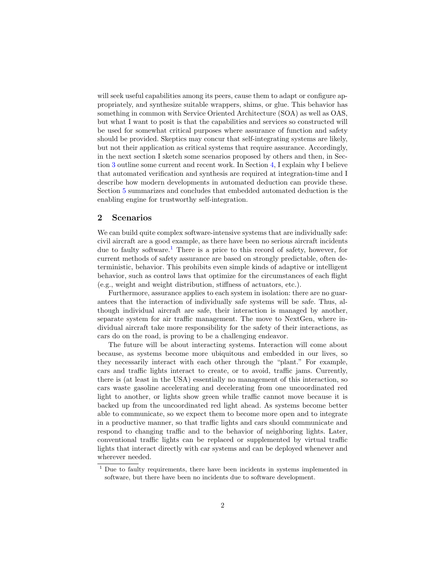will seek useful capabilities among its peers, cause them to adapt or configure appropriately, and synthesize suitable wrappers, shims, or glue. This behavior has something in common with Service Oriented Architecture (SOA) as well as OAS, but what I want to posit is that the capabilities and services so constructed will be used for somewhat critical purposes where assurance of function and safety should be provided. Skeptics may concur that self-integrating systems are likely, but not their application as critical systems that require assurance. Accordingly, in the next section I sketch some scenarios proposed by others and then, in Section [3](#page-4-0) outline some current and recent work. In Section [4,](#page-5-0) I explain why I believe that automated verification and synthesis are required at integration-time and I describe how modern developments in automated deduction can provide these. Section [5](#page-8-0) summarizes and concludes that embedded automated deduction is the enabling engine for trustworthy self-integration.

# <span id="page-1-1"></span>2 Scenarios

We can build quite complex software-intensive systems that are individually safe: civil aircraft are a good example, as there have been no serious aircraft incidents due to faulty software.<sup>[1](#page-1-0)</sup> There is a price to this record of safety, however, for current methods of safety assurance are based on strongly predictable, often deterministic, behavior. This prohibits even simple kinds of adaptive or intelligent behavior, such as control laws that optimize for the circumstances of each flight (e.g., weight and weight distribution, stiffness of actuators, etc.).

Furthermore, assurance applies to each system in isolation: there are no guarantees that the interaction of individually safe systems will be safe. Thus, although individual aircraft are safe, their interaction is managed by another, separate system for air traffic management. The move to NextGen, where individual aircraft take more responsibility for the safety of their interactions, as cars do on the road, is proving to be a challenging endeavor.

The future will be about interacting systems. Interaction will come about because, as systems become more ubiquitous and embedded in our lives, so they necessarily interact with each other through the "plant." For example, cars and traffic lights interact to create, or to avoid, traffic jams. Currently, there is (at least in the USA) essentially no management of this interaction, so cars waste gasoline accelerating and decelerating from one uncoordinated red light to another, or lights show green while traffic cannot move because it is backed up from the uncoordinated red light ahead. As systems become better able to communicate, so we expect them to become more open and to integrate in a productive manner, so that traffic lights and cars should communicate and respond to changing traffic and to the behavior of neighboring lights. Later, conventional traffic lights can be replaced or supplemented by virtual traffic lights that interact directly with car systems and can be deployed whenever and wherever needed.

<span id="page-1-0"></span><sup>&</sup>lt;sup>1</sup> Due to faulty requirements, there have been incidents in systems implemented in software, but there have been no incidents due to software development.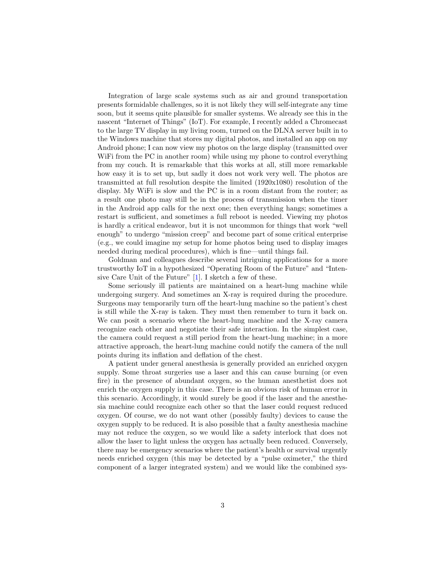<span id="page-2-0"></span>Integration of large scale systems such as air and ground transportation presents formidable challenges, so it is not likely they will self-integrate any time soon, but it seems quite plausible for smaller systems. We already see this in the nascent "Internet of Things" (IoT). For example, I recently added a Chromecast to the large TV display in my living room, turned on the DLNA server built in to the Windows machine that stores my digital photos, and installed an app on my Android phone; I can now view my photos on the large display (transmitted over WiFi from the PC in another room) while using my phone to control everything from my couch. It is remarkable that this works at all, still more remarkable how easy it is to set up, but sadly it does not work very well. The photos are transmitted at full resolution despite the limited (1920x1080) resolution of the display. My WiFi is slow and the PC is in a room distant from the router; as a result one photo may still be in the process of transmission when the timer in the Android app calls for the next one; then everything hangs; sometimes a restart is sufficient, and sometimes a full reboot is needed. Viewing my photos is hardly a critical endeavor, but it is not uncommon for things that work "well enough" to undergo "mission creep" and become part of some critical enterprise (e.g., we could imagine my setup for home photos being used to display images needed during medical procedures), which is fine—until things fail.

Goldman and colleagues describe several intriguing applications for a more trustworthy IoT in a hypothesized "Operating Room of the Future" and "Intensive Care Unit of the Future" [\[1\]](#page-9-0). I sketch a few of these.

Some seriously ill patients are maintained on a heart-lung machine while undergoing surgery. And sometimes an X-ray is required during the procedure. Surgeons may temporarily turn off the heart-lung machine so the patient's chest is still while the X-ray is taken. They must then remember to turn it back on. We can posit a scenario where the heart-lung machine and the X-ray camera recognize each other and negotiate their safe interaction. In the simplest case, the camera could request a still period from the heart-lung machine; in a more attractive approach, the heart-lung machine could notify the camera of the null points during its inflation and deflation of the chest.

A patient under general anesthesia is generally provided an enriched oxygen supply. Some throat surgeries use a laser and this can cause burning (or even fire) in the presence of abundant oxygen, so the human anesthetist does not enrich the oxygen supply in this case. There is an obvious risk of human error in this scenario. Accordingly, it would surely be good if the laser and the anesthesia machine could recognize each other so that the laser could request reduced oxygen. Of course, we do not want other (possibly faulty) devices to cause the oxygen supply to be reduced. It is also possible that a faulty anesthesia machine may not reduce the oxygen, so we would like a safety interlock that does not allow the laser to light unless the oxygen has actually been reduced. Conversely, there may be emergency scenarios where the patient's health or survival urgently needs enriched oxygen (this may be detected by a "pulse oximeter," the third component of a larger integrated system) and we would like the combined sys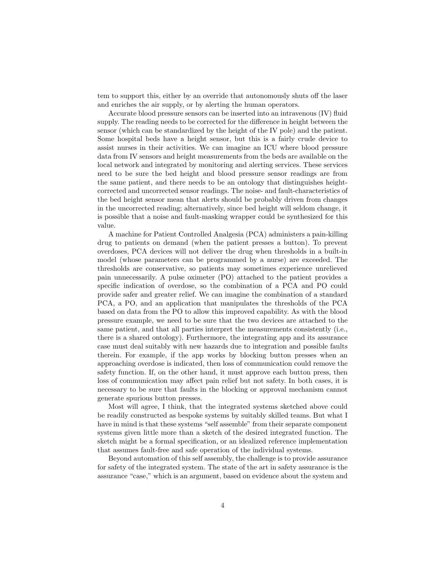tem to support this, either by an override that autonomously shuts off the laser and enriches the air supply, or by alerting the human operators.

Accurate blood pressure sensors can be inserted into an intravenous (IV) fluid supply. The reading needs to be corrected for the difference in height between the sensor (which can be standardized by the height of the IV pole) and the patient. Some hospital beds have a height sensor, but this is a fairly crude device to assist nurses in their activities. We can imagine an ICU where blood pressure data from IV sensors and height measurements from the beds are available on the local network and integrated by monitoring and alerting services. These services need to be sure the bed height and blood pressure sensor readings are from the same patient, and there needs to be an ontology that distinguishes heightcorrected and uncorrected sensor readings. The noise- and fault-characteristics of the bed height sensor mean that alerts should be probably driven from changes in the uncorrected reading; alternatively, since bed height will seldom change, it is possible that a noise and fault-masking wrapper could be synthesized for this value.

A machine for Patient Controlled Analgesia (PCA) administers a pain-killing drug to patients on demand (when the patient presses a button). To prevent overdoses, PCA devices will not deliver the drug when thresholds in a built-in model (whose parameters can be programmed by a nurse) are exceeded. The thresholds are conservative, so patients may sometimes experience unrelieved pain unnecessarily. A pulse oximeter (PO) attached to the patient provides a specific indication of overdose, so the combination of a PCA and PO could provide safer and greater relief. We can imagine the combination of a standard PCA, a PO, and an application that manipulates the thresholds of the PCA based on data from the PO to allow this improved capability. As with the blood pressure example, we need to be sure that the two devices are attached to the same patient, and that all parties interpret the measurements consistently (i.e., there is a shared ontology). Furthermore, the integrating app and its assurance case must deal suitably with new hazards due to integration and possible faults therein. For example, if the app works by blocking button presses when an approaching overdose is indicated, then loss of communication could remove the safety function. If, on the other hand, it must approve each button press, then loss of communication may affect pain relief but not safety. In both cases, it is necessary to be sure that faults in the blocking or approval mechanism cannot generate spurious button presses.

Most will agree, I think, that the integrated systems sketched above could be readily constructed as bespoke systems by suitably skilled teams. But what I have in mind is that these systems "self assemble" from their separate component systems given little more than a sketch of the desired integrated function. The sketch might be a formal specification, or an idealized reference implementation that assumes fault-free and safe operation of the individual systems.

Beyond automation of this self assembly, the challenge is to provide assurance for safety of the integrated system. The state of the art in safety assurance is the assurance "case," which is an argument, based on evidence about the system and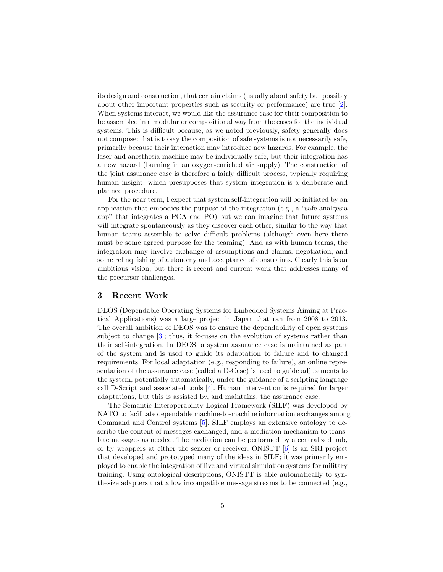<span id="page-4-1"></span>its design and construction, that certain claims (usually about safety but possibly about other important properties such as security or performance) are true [\[2\]](#page-9-1). When systems interact, we would like the assurance case for their composition to be assembled in a modular or compositional way from the cases for the individual systems. This is difficult because, as we noted previously, safety generally does not compose: that is to say the composition of safe systems is not necessarily safe, primarily because their interaction may introduce new hazards. For example, the laser and anesthesia machine may be individually safe, but their integration has a new hazard (burning in an oxygen-enriched air supply). The construction of the joint assurance case is therefore a fairly difficult process, typically requiring human insight, which presupposes that system integration is a deliberate and planned procedure.

For the near term, I expect that system self-integration will be initiated by an application that embodies the purpose of the integration (e.g., a "safe analgesia app" that integrates a PCA and PO) but we can imagine that future systems will integrate spontaneously as they discover each other, similar to the way that human teams assemble to solve difficult problems (although even here there must be some agreed purpose for the teaming). And as with human teams, the integration may involve exchange of assumptions and claims, negotiation, and some relinquishing of autonomy and acceptance of constraints. Clearly this is an ambitious vision, but there is recent and current work that addresses many of the precursor challenges.

## <span id="page-4-0"></span>3 Recent Work

DEOS (Dependable Operating Systems for Embedded Systems Aiming at Practical Applications) was a large project in Japan that ran from 2008 to 2013. The overall ambition of DEOS was to ensure the dependability of open systems subject to change [\[3\]](#page-9-2); thus, it focuses on the evolution of systems rather than their self-integration. In DEOS, a system assurance case is maintained as part of the system and is used to guide its adaptation to failure and to changed requirements. For local adaptation (e.g., responding to failure), an online representation of the assurance case (called a D-Case) is used to guide adjustments to the system, potentially automatically, under the guidance of a scripting language call D-Script and associated tools [\[4\]](#page-9-3). Human intervention is required for larger adaptations, but this is assisted by, and maintains, the assurance case.

The Semantic Interoperability Logical Framework (SILF) was developed by NATO to facilitate dependable machine-to-machine information exchanges among Command and Control systems [\[5\]](#page-9-4). SILF employs an extensive ontology to describe the content of messages exchanged, and a mediation mechanism to translate messages as needed. The mediation can be performed by a centralized hub, or by wrappers at either the sender or receiver. ONISTT [\[6\]](#page-9-5) is an SRI project that developed and prototyped many of the ideas in SILF; it was primarily employed to enable the integration of live and virtual simulation systems for military training. Using ontological descriptions, ONISTT is able automatically to synthesize adapters that allow incompatible message streams to be connected (e.g.,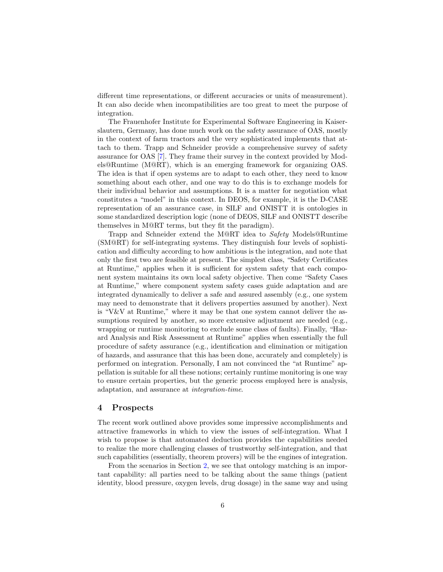<span id="page-5-1"></span>different time representations, or different accuracies or units of measurement). It can also decide when incompatibilities are too great to meet the purpose of integration.

The Frauenhofer Institute for Experimental Software Engineering in Kaiserslautern, Germany, has done much work on the safety assurance of OAS, mostly in the context of farm tractors and the very sophisticated implements that attach to them. Trapp and Schneider provide a comprehensive survey of safety assurance for OAS [\[7\]](#page-9-6). They frame their survey in the context provided by Models@Runtime (M@RT), which is an emerging framework for organizing OAS. The idea is that if open systems are to adapt to each other, they need to know something about each other, and one way to do this is to exchange models for their individual behavior and assumptions. It is a matter for negotiation what constitutes a "model" in this context. In DEOS, for example, it is the D-CASE representation of an assurance case, in SILF and ONISTT it is ontologies in some standardized description logic (none of DEOS, SILF and ONISTT describe themselves in M@RT terms, but they fit the paradigm).

Trapp and Schneider extend the M@RT idea to Safety Models@Runtime (SM@RT) for self-integrating systems. They distinguish four levels of sophistication and difficulty according to how ambitious is the integration, and note that only the first two are feasible at present. The simplest class, "Safety Certificates at Runtime," applies when it is sufficient for system safety that each component system maintains its own local safety objective. Then come "Safety Cases at Runtime," where component system safety cases guide adaptation and are integrated dynamically to deliver a safe and assured assembly (e.g., one system may need to demonstrate that it delivers properties assumed by another). Next is "V&V at Runtime," where it may be that one system cannot deliver the assumptions required by another, so more extensive adjustment are needed (e.g., wrapping or runtime monitoring to exclude some class of faults). Finally, "Hazard Analysis and Risk Assessment at Runtime" applies when essentially the full procedure of safety assurance (e.g., identification and elimination or mitigation of hazards, and assurance that this has been done, accurately and completely) is performed on integration. Personally, I am not convinced the "at Runtime" appellation is suitable for all these notions; certainly runtime monitoring is one way to ensure certain properties, but the generic process employed here is analysis, adaptation, and assurance at integration-time.

#### <span id="page-5-0"></span>4 Prospects

The recent work outlined above provides some impressive accomplishments and attractive frameworks in which to view the issues of self-integration. What I wish to propose is that automated deduction provides the capabilities needed to realize the more challenging classes of trustworthy self-integration, and that such capabilities (essentially, theorem provers) will be the engines of integration.

From the scenarios in Section [2,](#page-1-1) we see that ontology matching is an important capability: all parties need to be talking about the same things (patient identity, blood pressure, oxygen levels, drug dosage) in the same way and using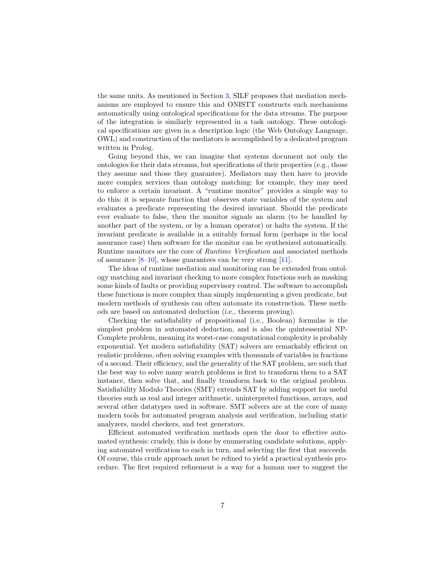<span id="page-6-0"></span>the same units. As mentioned in Section [3,](#page-4-0) SILF proposes that mediation mechanisms are employed to ensure this and ONISTT constructs such mechanisms automatically using ontological specifications for the data streams. The purpose of the integration is similarly represented in a task ontology. These ontological specifications are given in a description logic (the Web Ontology Language, OWL) and construction of the mediators is accomplished by a dedicated program written in Prolog.

Going beyond this, we can imagine that systems document not only the ontologies for their data streams, but specifications of their properties (e.g., those they assume and those they guarantee). Mediators may then have to provide more complex services than ontology matching: for example, they may need to enforce a certain invariant. A "runtime monitor" provides a simple way to do this: it is separate function that observes state variables of the system and evaluates a predicate representing the desired invariant. Should the predicate ever evaluate to false, then the monitor signals an alarm (to be handled by another part of the system, or by a human operator) or halts the system. If the invariant predicate is available in a suitably formal form (perhaps in the local assurance case) then software for the monitor can be synthesized automatically. Runtime monitors are the core of Runtime Verification and associated methods of assurance  $[8-10]$  $[8-10]$ , whose guarantees can be very strong [\[11\]](#page-10-1).

The ideas of runtime mediation and monitoring can be extended from ontology matching and invariant checking to more complex functions such as masking some kinds of faults or providing supervisory control. The software to accomplish these functions is more complex than simply implementing a given predicate, but modern methods of synthesis can often automate its construction. These methods are based on automated deduction (i.e., theorem proving).

Checking the satisfiability of propositional (i.e., Boolean) formulas is the simplest problem in automated deduction, and is also the quintessential NP-Complete problem, meaning its worst-case computational complexity is probably exponential. Yet modern satisfiability (SAT) solvers are remarkably efficient on realistic problems, often solving examples with thousands of variables in fractions of a second. Their efficiency, and the generality of the SAT problem, are such that the best way to solve many search problems is first to transform them to a SAT instance, then solve that, and finally transform back to the original problem. Satisfiability Modulo Theories (SMT) extends SAT by adding support for useful theories such as real and integer arithmetic, uninterpreted functions, arrays, and several other datatypes used in software. SMT solvers are at the core of many modern tools for automated program analysis and verification, including static analyzers, model checkers, and test generators.

Efficient automated verification methods open the door to effective automated synthesis: crudely, this is done by enumerating candidate solutions, applying automated verification to each in turn, and selecting the first that succeeds. Of course, this crude approach must be refined to yield a practical synthesis procedure. The first required refinement is a way for a human user to suggest the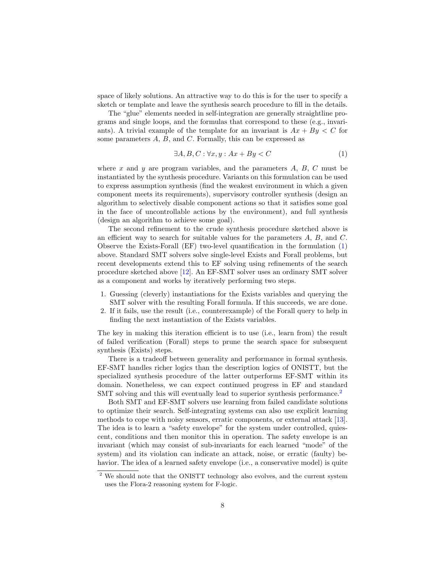<span id="page-7-2"></span>space of likely solutions. An attractive way to do this is for the user to specify a sketch or template and leave the synthesis search procedure to fill in the details.

The "glue" elements needed in self-integration are generally straightline programs and single loops, and the formulas that correspond to these (e.g., invariants). A trivial example of the template for an invariant is  $Ax + By < C$  for some parameters A, B, and C. Formally, this can be expressed as

<span id="page-7-0"></span>
$$
\exists A, B, C: \forall x, y: Ax + By < C \tag{1}
$$

where x and y are program variables, and the parameters A, B, C must be instantiated by the synthesis procedure. Variants on this formulation can be used to express assumption synthesis (find the weakest environment in which a given component meets its requirements), supervisory controller synthesis (design an algorithm to selectively disable component actions so that it satisfies some goal in the face of uncontrollable actions by the environment), and full synthesis (design an algorithm to achieve some goal).

The second refinement to the crude synthesis procedure sketched above is an efficient way to search for suitable values for the parameters A, B, and C. Observe the Exists-Forall (EF) two-level quantification in the formulation [\(1\)](#page-7-0) above. Standard SMT solvers solve single-level Exists and Forall problems, but recent developments extend this to EF solving using refinements of the search procedure sketched above [\[12\]](#page-10-2). An EF-SMT solver uses an ordinary SMT solver as a component and works by iteratively performing two steps.

- 1. Guessing (cleverly) instantiations for the Exists variables and querying the SMT solver with the resulting Forall formula. If this succeeds, we are done.
- 2. If it fails, use the result (i.e., counterexample) of the Forall query to help in finding the next instantiation of the Exists variables.

The key in making this iteration efficient is to use (i.e., learn from) the result of failed verification (Forall) steps to prune the search space for subsequent synthesis (Exists) steps.

There is a tradeoff between generality and performance in formal synthesis. EF-SMT handles richer logics than the description logics of ONISTT, but the specialized synthesis procedure of the latter outperforms EF-SMT within its domain. Nonetheless, we can expect continued progress in EF and standard SMT solving and this will eventually lead to superior synthesis performance.<sup>[2](#page-7-1)</sup>

Both SMT and EF-SMT solvers use learning from failed candidate solutions to optimize their search. Self-integrating systems can also use explicit learning methods to cope with noisy sensors, erratic components, or external attack [\[13\]](#page-10-3). The idea is to learn a "safety envelope" for the system under controlled, quiescent, conditions and then monitor this in operation. The safety envelope is an invariant (which may consist of sub-invariants for each learned "mode" of the system) and its violation can indicate an attack, noise, or erratic (faulty) behavior. The idea of a learned safety envelope (i.e., a conservative model) is quite

<span id="page-7-1"></span><sup>&</sup>lt;sup>2</sup> We should note that the ONISTT technology also evolves, and the current system uses the Flora-2 reasoning system for F-logic.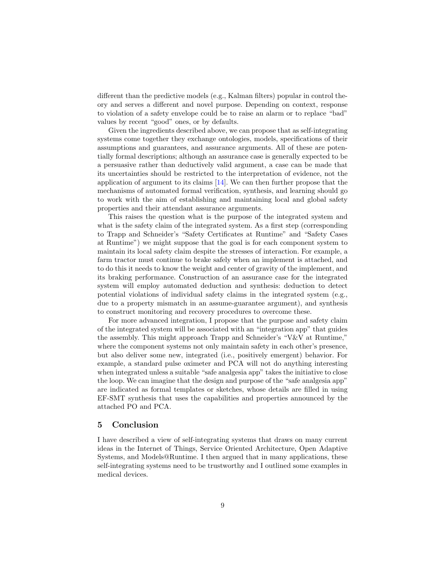<span id="page-8-1"></span>different than the predictive models (e.g., Kalman filters) popular in control theory and serves a different and novel purpose. Depending on context, response to violation of a safety envelope could be to raise an alarm or to replace "bad" values by recent "good" ones, or by defaults.

Given the ingredients described above, we can propose that as self-integrating systems come together they exchange ontologies, models, specifications of their assumptions and guarantees, and assurance arguments. All of these are potentially formal descriptions; although an assurance case is generally expected to be a persuasive rather than deductively valid argument, a case can be made that its uncertainties should be restricted to the interpretation of evidence, not the application of argument to its claims [\[14\]](#page-10-4). We can then further propose that the mechanisms of automated formal verification, synthesis, and learning should go to work with the aim of establishing and maintaining local and global safety properties and their attendant assurance arguments.

This raises the question what is the purpose of the integrated system and what is the safety claim of the integrated system. As a first step (corresponding to Trapp and Schneider's "Safety Certificates at Runtime" and "Safety Cases at Runtime") we might suppose that the goal is for each component system to maintain its local safety claim despite the stresses of interaction. For example, a farm tractor must continue to brake safely when an implement is attached, and to do this it needs to know the weight and center of gravity of the implement, and its braking performance. Construction of an assurance case for the integrated system will employ automated deduction and synthesis: deduction to detect potential violations of individual safety claims in the integrated system (e.g., due to a property mismatch in an assume-guarantee argument), and synthesis to construct monitoring and recovery procedures to overcome these.

For more advanced integration, I propose that the purpose and safety claim of the integrated system will be associated with an "integration app" that guides the assembly. This might approach Trapp and Schneider's "V&V at Runtime," where the component systems not only maintain safety in each other's presence, but also deliver some new, integrated (i.e., positively emergent) behavior. For example, a standard pulse oximeter and PCA will not do anything interesting when integrated unless a suitable "safe analgesia app" takes the initiative to close the loop. We can imagine that the design and purpose of the "safe analgesia app" are indicated as formal templates or sketches, whose details are filled in using EF-SMT synthesis that uses the capabilities and properties announced by the attached PO and PCA.

# <span id="page-8-0"></span>5 Conclusion

I have described a view of self-integrating systems that draws on many current ideas in the Internet of Things, Service Oriented Architecture, Open Adaptive Systems, and Models@Runtime. I then argued that in many applications, these self-integrating systems need to be trustworthy and I outlined some examples in medical devices.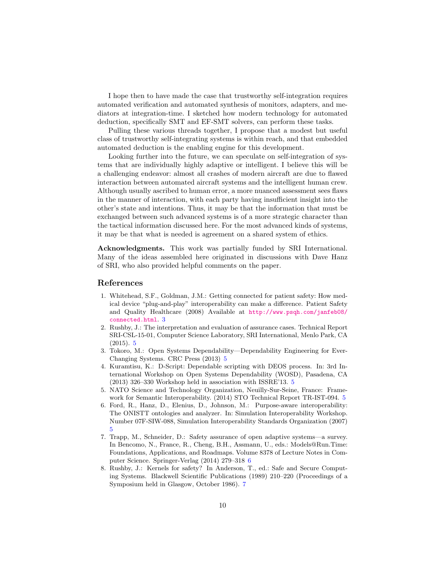I hope then to have made the case that trustworthy self-integration requires automated verification and automated synthesis of monitors, adapters, and mediators at integration-time. I sketched how modern technology for automated deduction, specifically SMT and EF-SMT solvers, can perform these tasks.

Pulling these various threads together, I propose that a modest but useful class of trustworthy self-integrating systems is within reach, and that embedded automated deduction is the enabling engine for this development.

Looking further into the future, we can speculate on self-integration of systems that are individually highly adaptive or intelligent. I believe this will be a challenging endeavor: almost all crashes of modern aircraft are due to flawed interaction between automated aircraft systems and the intelligent human crew. Although usually ascribed to human error, a more nuanced assessment sees flaws in the manner of interaction, with each party having insufficient insight into the other's state and intentions. Thus, it may be that the information that must be exchanged between such advanced systems is of a more strategic character than the tactical information discussed here. For the most advanced kinds of systems, it may be that what is needed is agreement on a shared system of ethics.

Acknowledgments. This work was partially funded by SRI International. Many of the ideas assembled here originated in discussions with Dave Hanz of SRI, who also provided helpful comments on the paper.

# References

- <span id="page-9-0"></span>1. Whitehead, S.F., Goldman, J.M.: Getting connected for patient safety: How medical device "plug-and-play" interoperability can make a difference. Patient Safety and Quality Healthcare (2008) Available at [http://www.psqh.com/janfeb08/](http://www.psqh.com/janfeb08/connected.html) [connected.html](http://www.psqh.com/janfeb08/connected.html). [3](#page-2-0)
- <span id="page-9-1"></span>2. Rushby, J.: The interpretation and evaluation of assurance cases. Technical Report SRI-CSL-15-01, Computer Science Laboratory, SRI International, Menlo Park, CA (2015). [5](#page-4-1)
- <span id="page-9-2"></span>3. Tokoro, M.: Open Systems Dependability—Dependability Engineering for Ever-Changing Systems. CRC Press (2013) [5](#page-4-1)
- <span id="page-9-3"></span>4. Kuramtisu, K.: D-Script: Dependable scripting with DEOS process. In: 3rd International Workshop on Open Systems Dependability (WOSD), Pasadena, CA (2013) 326–330 Workshop held in association with ISSRE'13. [5](#page-4-1)
- <span id="page-9-4"></span>5. NATO Science and Technology Organization, Neuilly-Sur-Seine, France: Framework for Semantic Interoperability. (2014) STO Technical Report TR-IST-094. [5](#page-4-1)
- <span id="page-9-5"></span>6. Ford, R., Hanz, D., Elenius, D., Johnson, M.: Purpose-aware interoperability: The ONISTT ontologies and analyzer. In: Simulation Interoperability Workshop. Number 07F-SIW-088, Simulation Interoperability Standards Organization (2007) [5](#page-4-1)
- <span id="page-9-6"></span>7. Trapp, M., Schneider, D.: Safety assurance of open adaptive systems—a survey. In Bencomo, N., France, R., Cheng, B.H., Assmann, U., eds.: Models@Run.Time: Foundations, Applications, and Roadmaps. Volume 8378 of Lecture Notes in Computer Science. Springer-Verlag (2014) 279–318 [6](#page-5-1)
- <span id="page-9-7"></span>8. Rushby, J.: Kernels for safety? In Anderson, T., ed.: Safe and Secure Computing Systems. Blackwell Scientific Publications (1989) 210–220 (Proceedings of a Symposium held in Glasgow, October 1986). [7](#page-6-0)